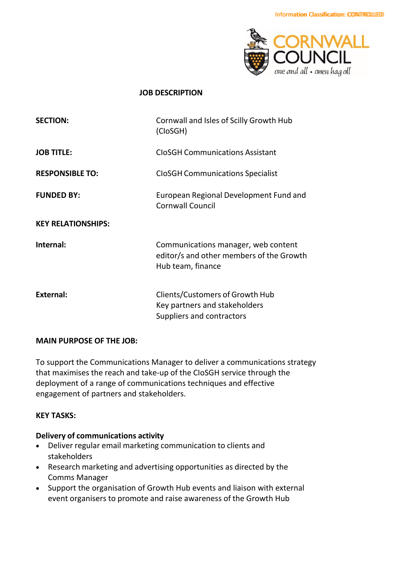

#### **JOB DESCRIPTION**

| <b>SECTION:</b>           | Cornwall and Isles of Scilly Growth Hub<br>(CloSGH)                                                  |
|---------------------------|------------------------------------------------------------------------------------------------------|
| <b>JOB TITLE:</b>         | <b>CloSGH Communications Assistant</b>                                                               |
| <b>RESPONSIBLE TO:</b>    | <b>CloSGH Communications Specialist</b>                                                              |
| <b>FUNDED BY:</b>         | European Regional Development Fund and<br><b>Cornwall Council</b>                                    |
| <b>KEY RELATIONSHIPS:</b> |                                                                                                      |
| Internal:                 | Communications manager, web content<br>editor/s and other members of the Growth<br>Hub team, finance |
| <b>External:</b>          | Clients/Customers of Growth Hub<br>Key partners and stakeholders<br>Suppliers and contractors        |

#### **MAIN PURPOSE OF THE JOB:**

To support the Communications Manager to deliver a communications strategy that maximises the reach and take-up of the CIoSGH service through the deployment of a range of communications techniques and effective engagement of partners and stakeholders.

#### **KEY TASKS:**

#### **Delivery of communications activity**

- Deliver regular email marketing communication to clients and stakeholders
- Research marketing and advertising opportunities as directed by the Comms Manager
- Support the organisation of Growth Hub events and liaison with external event organisers to promote and raise awareness of the Growth Hub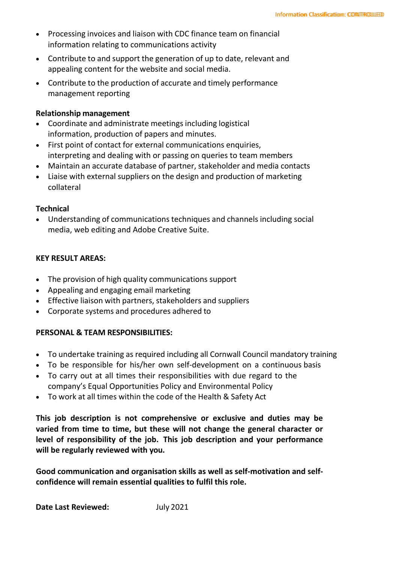- Processing invoices and liaison with CDC finance team on financial information relating to communications activity
- Contribute to and support the generation of up to date, relevant and appealing content for the website and social media.
- Contribute to the production of accurate and timely performance management reporting

### **Relationship management**

- Coordinate and administrate meetings including logistical information, production of papers and minutes.
- First point of contact for external communications enquiries, interpreting and dealing with or passing on queries to team members
- Maintain an accurate database of partner, stakeholder and media contacts
- Liaise with external suppliers on the design and production of marketing collateral

## **Technical**

• Understanding of communications techniques and channels including social media, web editing and Adobe Creative Suite.

## **KEY RESULT AREAS:**

- The provision of high quality communications support
- Appealing and engaging email marketing
- Effective liaison with partners, stakeholders and suppliers
- Corporate systems and procedures adhered to

## **PERSONAL & TEAM RESPONSIBILITIES:**

- To undertake training as required including all Cornwall Council mandatory training
- To be responsible for his/her own self-development on a continuous basis
- To carry out at all times their responsibilities with due regard to the company's Equal Opportunities Policy and Environmental Policy
- To work at all times within the code of the Health & Safety Act

**This job description is not comprehensive or exclusive and duties may be varied from time to time, but these will not change the general character or level of responsibility of the job. This job description and your performance will be regularly reviewed with you.**

**Good communication and organisation skills as well as self-motivation and selfconfidence will remain essential qualities to fulfil this role.**

**Date Last Reviewed:** July 2021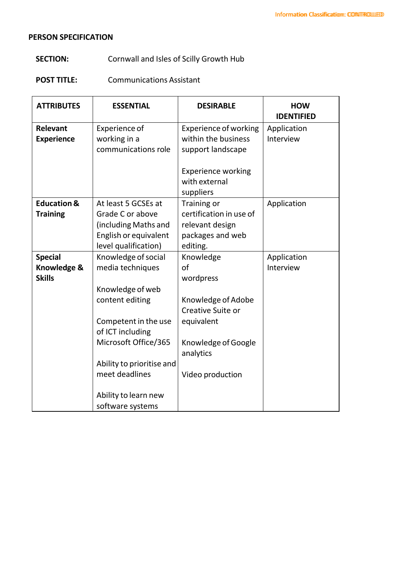## **PERSON SPECIFICATION**

# **SECTION:** Cornwall and Isles of Scilly Growth Hub

## **POST TITLE:** Communications Assistant

| <b>ATTRIBUTES</b>      | <b>ESSENTIAL</b>          | <b>DESIRABLE</b>             | <b>HOW</b><br><b>IDENTIFIED</b> |
|------------------------|---------------------------|------------------------------|---------------------------------|
| <b>Relevant</b>        | <b>Experience of</b>      | <b>Experience of working</b> | Application                     |
| <b>Experience</b>      | working in a              | within the business          | Interview                       |
|                        | communications role       | support landscape            |                                 |
|                        |                           |                              |                                 |
|                        |                           | <b>Experience working</b>    |                                 |
|                        |                           | with external                |                                 |
|                        |                           | suppliers                    |                                 |
| <b>Education &amp;</b> | At least 5 GCSEs at       | Training or                  | Application                     |
| <b>Training</b>        | Grade C or above          | certification in use of      |                                 |
|                        | (including Maths and      | relevant design              |                                 |
|                        | English or equivalent     | packages and web             |                                 |
|                        | level qualification)      | editing.                     |                                 |
| <b>Special</b>         | Knowledge of social       | Knowledge                    | Application                     |
| Knowledge &            | media techniques          | of                           | Interview                       |
| <b>Skills</b>          |                           | wordpress                    |                                 |
|                        | Knowledge of web          |                              |                                 |
|                        | content editing           | Knowledge of Adobe           |                                 |
|                        |                           | Creative Suite or            |                                 |
|                        | Competent in the use      | equivalent                   |                                 |
|                        | of ICT including          |                              |                                 |
|                        | Microsoft Office/365      | Knowledge of Google          |                                 |
|                        |                           | analytics                    |                                 |
|                        | Ability to prioritise and |                              |                                 |
|                        | meet deadlines            | Video production             |                                 |
|                        | Ability to learn new      |                              |                                 |
|                        | software systems          |                              |                                 |